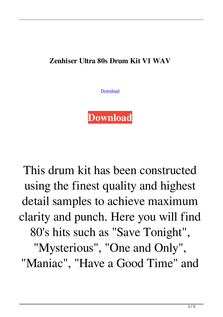## **Zenhiser Ultra 80s Drum Kit V1 WAV**

[Download](http://evacdir.com/ZG93bmxvYWR8N1NPTVRrNWZId3hOalV5TkRZek1EVXdmSHd5TlRjMGZId29UU2tnY21WaFpDMWliRzluSUZ0R1lYTjBJRWRGVGww/familiarized/gamefly.kion=/jarrett.WmVuaGlzZXIgVWx0cmEgODBzIERydW0gS2l0IFYxIFdBVgWmV/mckinley.lamaze.traversed)



This drum kit has been constructed using the finest quality and highest detail samples to achieve maximum clarity and punch. Here you will find 80's hits such as "Save Tonight", "Mysterious", "One and Only", "Maniac", "Have a Good Time" and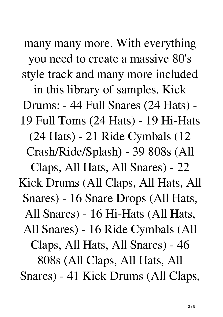many many more. With everything you need to create a massive 80's style track and many more included

in this library of samples. Kick Drums: - 44 Full Snares (24 Hats) - 19 Full Toms (24 Hats) - 19 Hi-Hats (24 Hats) - 21 Ride Cymbals (12 Crash/Ride/Splash) - 39 808s (All

Claps, All Hats, All Snares) - 22 Kick Drums (All Claps, All Hats, All Snares) - 16 Snare Drops (All Hats, All Snares) - 16 Hi-Hats (All Hats, All Snares) - 16 Ride Cymbals (All Claps, All Hats, All Snares) - 46 808s (All Claps, All Hats, All Snares) - 41 Kick Drums (All Claps,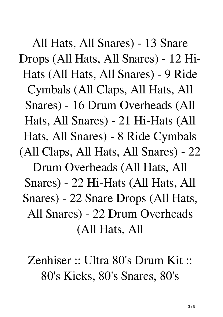All Hats, All Snares) - 13 Snare Drops (All Hats, All Snares) - 12 Hi-Hats (All Hats, All Snares) - 9 Ride Cymbals (All Claps, All Hats, All Snares) - 16 Drum Overheads (All Hats, All Snares) - 21 Hi-Hats (All Hats, All Snares) - 8 Ride Cymbals (All Claps, All Hats, All Snares) - 22 Drum Overheads (All Hats, All Snares) - 22 Hi-Hats (All Hats, All Snares) - 22 Snare Drops (All Hats, All Snares) - 22 Drum Overheads (All Hats, All

Zenhiser :: Ultra 80's Drum Kit :: 80's Kicks, 80's Snares, 80's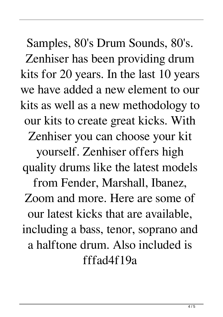Samples, 80's Drum Sounds, 80's. Zenhiser has been providing drum kits for 20 years. In the last 10 years we have added a new element to our kits as well as a new methodology to our kits to create great kicks. With Zenhiser you can choose your kit yourself. Zenhiser offers high quality drums like the latest models from Fender, Marshall, Ibanez, Zoom and more. Here are some of our latest kicks that are available, including a bass, tenor, soprano and a halftone drum. Also included is fffad4f19a